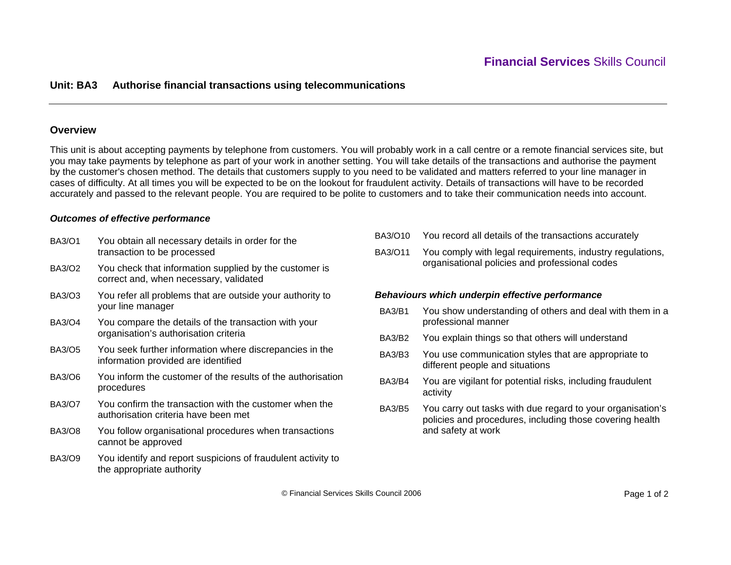## **Unit: BA3 Authorise financial transactions using telecommunications**

### **Overview**

This unit is about accepting payments by telephone from customers. You will probably work in a call centre or a remote financial services site, but you may take payments by telephone as part of your work in another setting. You will take details of the transactions and authorise the payment by the customer's chosen method. The details that customers supply to you need to be validated and matters referred to your line manager in cases of difficulty. At all times you will be expected to be on the lookout for fraudulent activity. Details of transactions will have to be recorded accurately and passed to the relevant people. You are required to be polite to customers and to take their communication needs into account.

#### *Outcomes of effective performance*

- BA3/O1 You obtain all necessary details in order for the transaction to be processed BA3/O2 You check that information supplied by the customer is correct and, when necessary, validated BA3/O3 You refer all problems that are outside your authority to your line manager BA3/O4 You compare the details of the transaction with your organisation's authorisation criteria BA3/O5 You seek further information where discrepancies in the information provided are identified BA3/O6 You inform the customer of the results of the authorisation procedures BA3/O7 You confirm the transaction with the customer when the authorisation criteria have been met BA3/O8 You follow organisational procedures when transactions cannot be approved BA3/O9 You identify and report suspicions of fraudulent activity to the appropriate authority
- BA3/O10 You record all details of the transactions accurately
- BA3/O11 You comply with legal requirements, industry regulations, organisational policies and professional codes

#### *Behaviours which underpin effective performance*

- BA3/B1 You show understanding of others and deal with them in a professional manner
- BA3/B2 You explain things so that others will understand
- BA3/B3 You use communication styles that are appropriate to different people and situations
- BA3/B4 You are vigilant for potential risks, including fraudulent activity
- BA3/B5 You carry out tasks with due regard to your organisation's policies and procedures, including those covering health and safety at work

© Financial Services Skills Council 2006 Page 1 of 2